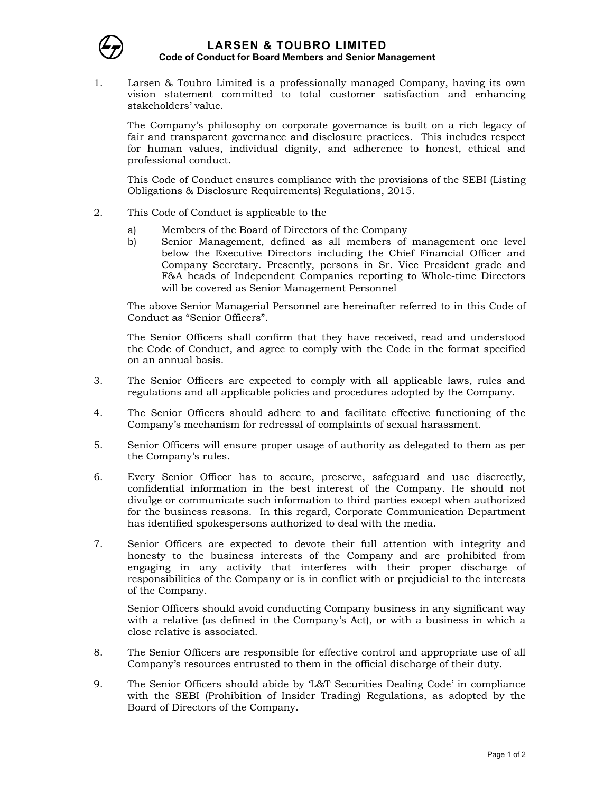

1. Larsen & Toubro Limited is a professionally managed Company, having its own vision statement committed to total customer satisfaction and enhancing stakeholders' value.

 The Company's philosophy on corporate governance is built on a rich legacy of fair and transparent governance and disclosure practices. This includes respect for human values, individual dignity, and adherence to honest, ethical and professional conduct.

This Code of Conduct ensures compliance with the provisions of the SEBI (Listing Obligations & Disclosure Requirements) Regulations, 2015.

- 2. This Code of Conduct is applicable to the
	- a) Members of the Board of Directors of the Company
	- b) Senior Management, defined as all members of management one level below the Executive Directors including the Chief Financial Officer and Company Secretary. Presently, persons in Sr. Vice President grade and F&A heads of Independent Companies reporting to Whole-time Directors will be covered as Senior Management Personnel

The above Senior Managerial Personnel are hereinafter referred to in this Code of Conduct as "Senior Officers".

 The Senior Officers shall confirm that they have received, read and understood the Code of Conduct, and agree to comply with the Code in the format specified on an annual basis.

- 3. The Senior Officers are expected to comply with all applicable laws, rules and regulations and all applicable policies and procedures adopted by the Company.
- 4. The Senior Officers should adhere to and facilitate effective functioning of the Company's mechanism for redressal of complaints of sexual harassment.
- 5. Senior Officers will ensure proper usage of authority as delegated to them as per the Company's rules.
- 6. Every Senior Officer has to secure, preserve, safeguard and use discreetly, confidential information in the best interest of the Company. He should not divulge or communicate such information to third parties except when authorized for the business reasons. In this regard, Corporate Communication Department has identified spokespersons authorized to deal with the media.
- 7. Senior Officers are expected to devote their full attention with integrity and honesty to the business interests of the Company and are prohibited from engaging in any activity that interferes with their proper discharge of responsibilities of the Company or is in conflict with or prejudicial to the interests of the Company.

Senior Officers should avoid conducting Company business in any significant way with a relative (as defined in the Company's Act), or with a business in which a close relative is associated.

- 8. The Senior Officers are responsible for effective control and appropriate use of all Company's resources entrusted to them in the official discharge of their duty.
- 9. The Senior Officers should abide by 'L&T Securities Dealing Code' in compliance with the SEBI (Prohibition of Insider Trading) Regulations, as adopted by the Board of Directors of the Company.